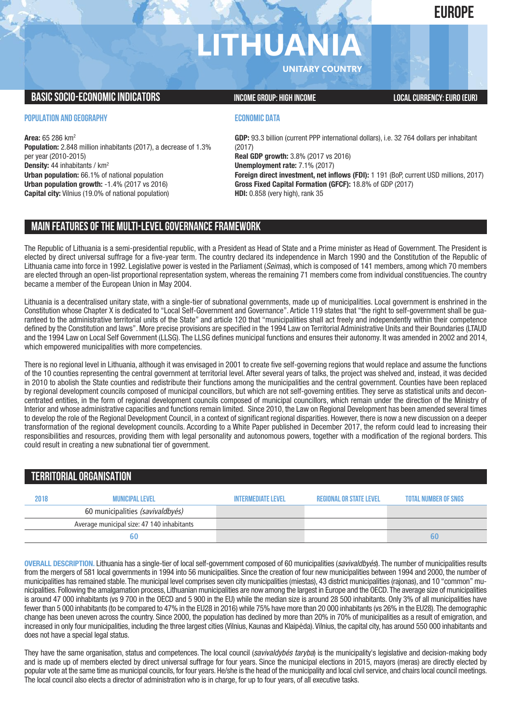## **EUROPE**

# **LITHUAN**

**UNITARY COUNTRY**

### **BASIC SOCIO-ECONOMIC INDICATORS INCOME GROUP:** HIGH INCOME GROUP: HIGH INCOME

#### **POPULATION AND GEOGRAPHY**

**Area:** 65 286 km2 **Population:** 2.848 million inhabitants (2017), a decrease of 1.3% per year (2010-2015) **Density:** 44 inhabitants / km2 **Urban population:** 66.1% of national population **Urban population growth:** -1.4% (2017 vs 2016) **Capital city:** Vilnius (19.0% of national population)

#### **ECONOMIC DATA**

**GDP:** 93.3 billion (current PPP international dollars), i.e. 32 764 dollars per inhabitant (2017) **Real GDP growth:** 3.8% (2017 vs 2016) **Unemployment rate:** 7.1% (2017) **Foreign direct investment, net inflows (FDI):** 1 191 (BoP, current USD millions, 2017) **Gross Fixed Capital Formation (GFCF):** 18.8% of GDP (2017) **HDI:** 0.858 (very high), rank 35

## **MAIN FEATURESOFTHE MULTI-LEVELGOVERNANCEFRAMEWORK**

The Republic of Lithuania is a semi-presidential republic, with a President as Head of State and a Prime minister as Head of Government. The President is elected by direct universal suffrage for a five-year term. The country declared its independence in March 1990 and the Constitution of the Republic of Lithuania came into force in 1992. Legislative power is vested in the Parliament (*Seimas*), which is composed of 141 members, among which 70 members are elected through an open-list proportional representation system, whereas the remaining 71 members come from individual constituencies. The country became a member of the European Union in May 2004.

Lithuania is a decentralised unitary state, with a single-tier of subnational governments, made up of municipalities. Local government is enshrined in the Constitution whose Chapter X is dedicated to "Local Self-Government and Governance". Article 119 states that "the right to self-government shall be guaranteed to the administrative territorial units of the State" and article 120 that "municipalities shall act freely and independently within their competence defined by the Constitution and laws". More precise provisions are specified in the 1994 Law on Territorial Administrative Units and their Boundaries (LTAUD and the 1994 Law on Local Self Government (LLSG). The LLSG defines municipal functions and ensures their autonomy. It was amended in 2002 and 2014, which empowered municipalities with more competencies.

There is no regional level in Lithuania, although it was envisaged in 2001 to create five self-governing regions that would replace and assume the functions of the 10 counties representing the central government at territorial level. After several years of talks, the project was shelved and, instead, it was decided in 2010 to abolish the State counties and redistribute their functions among the municipalities and the central government. Counties have been replaced by regional development councils composed of municipal councillors, but which are not self-governing entities. They serve as statistical units and deconcentrated entities, in the form of regional development councils composed of municipal councillors, which remain under the direction of the Ministry of Interior and whose administrative capacities and functions remain limited. Since 2010, the Law on Regional Development has been amended several times to develop the role of the Regional Development Council, in a context of significant regional disparities. However, there is now a new discussion on a deeper transformation of the regional development councils. According to a White Paper published in December 2017, the reform could lead to increasing their responsibilities and resources, providing them with legal personality and autonomous powers, together with a modification of the regional borders. This could result in creating a new subnational tier of government.

## **TERRITORIALORGANISATION 2018 Municipallevel Intermediatelevel regionalor Statelevel Total number ofSNGs** 60 municipalities (savivaldbyés) Average municipal size: 47 140 inhabitants  **60 60**

**OVERALL DESCRIPTION.** Lithuania has a single-tier of local self-government composed of 60 municipalities (*savivaldbyés*). The number of municipalities results from the mergers of 581 local governments in 1994 into 56 municipalities. Since the creation of four new municipalities between 1994 and 2000, the number of municipalities has remained stable. The municipal level comprises seven city municipalities (miestas), 43 district municipalities (rajonas), and 10 "common" municipalities. Following the amalgamation process, Lithuanian municipalities are now among the largest in Europe and the OECD.The average size of municipalities is around 47 000 inhabitants (vs 9 700 in the OECD and 5 900 in the EU) while the median size is around 28 500 inhabitants. Only 3% of all municipalities have fewer than 5 000 inhabitants (to be compared to 47% in the EU28 in 2016) while 75% have more than 20 000 inhabitants (vs 26% in the EU28).The demographic change has been uneven across the country. Since 2000, the population has declined by more than 20% in 70% of municipalities as a result of emigration, and increased in only four municipalities, including the three largest cities (Vilnius, Kaunas and Klaipėda). Vilnius, the capital city, has around 550 000 inhabitants and does not have a special legal status.

They have the same organisation, status and competences. The local council (*savivaldybés taryba*) is the municipality's legislative and decision-making body and is made up of members elected by direct universal suffrage for four years. Since the municipal elections in 2015, mayors (meras) are directly elected by popular vote at the same time as municipal councils, for four years. He/she is the head of the municipality and local civil service, and chairs local council meetings. The local council also elects a director of administration who is in charge, for up to four years, of all executive tasks.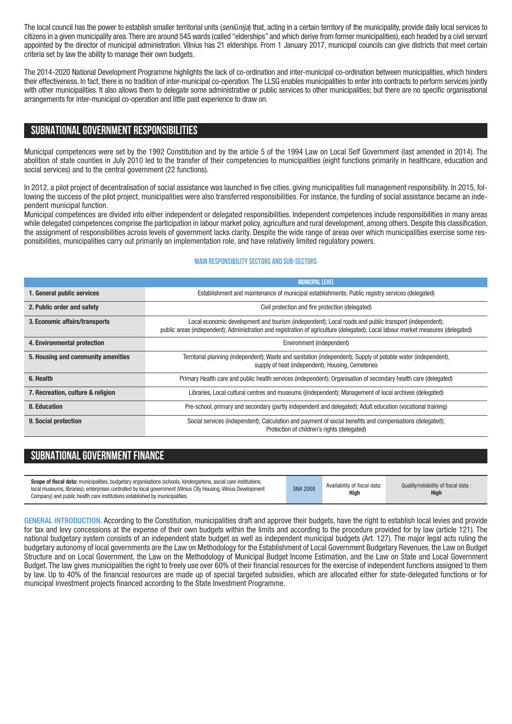The local council has the power to establish smaller territorial units (*seniūnija*) that, acting in a certain territory of the municipality, provide daily local services to citizens in a given municipality area.There are around 545 wards (called "elderships" and which derive from former municipalities), each headed by a civil servant appointed by the director of municipal administration. Vilnius has 21 elderships. From 1 January 2017, municipal councils can give districts that meet certain criteria set by law the ability to manage their own budgets.

The 2014-2020 National Development Programme highlights the lack of co-ordination and inter-municipal co-ordination between municipalities, which hinders their effectiveness. In fact, there is no tradition of inter-municipal co-operation. The LLSG enables municipalities to enter into contracts to perform services jointly with other municipalities. It also allows them to delegate some administrative or public services to other municipalities; but there are no specific organisational arrangements for inter-municipal co-operation and little past experience to draw on.

## **SUBNATIONALGOVERNMENT RESPONSIBILITIES**

Municipal competences were set by the 1992 Constitution and by the article 5 of the 1994 Law on Local Self Government (last amended in 2014). The abolition of state counties in July 2010 led to the transfer of their competencies to municipalities (eight functions primarily in healthcare, education and social services) and to the central government (22 functions).

In 2012, a pilot project of decentralisation of social assistance was launched in five cities, giving municipalities full management responsibility. In 2015, following the success of the pilot project, municipalities were also transferred responsibilities. For instance, the funding of social assistance became an independent municipal function.

Municipal competences are divided into either independent or delegated responsibilities. Independent competences include responsibilities in many areas while delegated competences comprise the participation in labour market policy, agriculture and rural development, among others. Despite this classification, the assignment of responsibilities across levels of government lacks clarity. Despite the wide range of areas over which municipalities exercise some responsibilities, municipalities carry out primarily an implementation role, and have relatively limited regulatory powers.

#### **Main responsibilitysectors and sub-sectors**

|                                    | <b>MUNICIPAL LEVEL</b>                                                                                                                                                                                                                    |  |  |  |  |  |
|------------------------------------|-------------------------------------------------------------------------------------------------------------------------------------------------------------------------------------------------------------------------------------------|--|--|--|--|--|
| 1. General public services         | Establishment and maintenance of municipal establishments; Public registry services (delegated)                                                                                                                                           |  |  |  |  |  |
| 2. Public order and safety         | Civil protection and fire protection (delegated)                                                                                                                                                                                          |  |  |  |  |  |
| 3. Economic affairs/transports     | Local economic development and tourism (independent); Local roads and public transport (independent);<br>public areas (independent); Administration and registration of agriculture (delegated); Local labour market measures (delegated) |  |  |  |  |  |
| 4. Environmental protection        | Environment (independent)                                                                                                                                                                                                                 |  |  |  |  |  |
| 5. Housing and community amenities | Territorial planning (independent); Waste and sanitation (independent); Supply of potable water (independent),<br>supply of heat (independent); Housing, Cemeteries                                                                       |  |  |  |  |  |
| 6. Health                          | Primary Health care and public health services (independent); Organisation of secondary health care (delegated)                                                                                                                           |  |  |  |  |  |
| 7. Recreation, culture & religion  | Libraries, Local cultural centres and museums ((independent); Management of local archives (delegated)                                                                                                                                    |  |  |  |  |  |
| 8. Education                       | Pre-school, primary and secondary (partly independent and delegated); Adult education (vocational training)                                                                                                                               |  |  |  |  |  |
| 9. Social protection               | Social services (independent); Calculation and payment of social benefits and compensations (delegated);<br>Protection of children's rights (delegated)                                                                                   |  |  |  |  |  |

## **SUBNATIONAL GOVERNMENT FINANCE**

**GENERAL INTRODUCTION.** According to the Constitution, municipalities draft and approve their budgets, have the right to establish local levies and provide for tax and levy concessions at the expense of their own budgets within the limits and according to the procedure provided for by law (article 121). The national budgetary system consists of an independent state budget as well as independent municipal budgets (Art. 127). The major legal acts ruling the budgetary autonomy of local governments are the Law on Methodology for the Establishment of Local Government Budgetary Revenues, the Law on Budget Structure and on Local Government, the Law on the Methodology of Municipal Budget Income Estimation, and the Law on State and Local Government Budget. The law gives municipalities the right to freely use over 60% of their financial resources for the exercise of independent functions assigned to them by law. Up to 40% of the financial resources are made up of special targeted subsidies, which are allocated either for state-delegated functions or for municipal investment projects financed according to the State Investment Programme.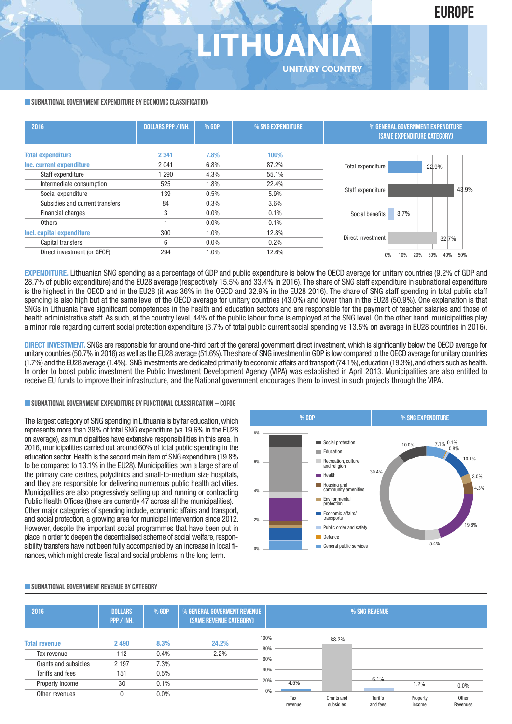## **EUROPE**

## THUANI **UNITARY COUNTRY**

#### **SUBNATIONAL GOVERNMENT EXPENDITURE BY ECONOMIC CLASSIFICATION**

| 2016                            | <b>DOLLARS PPP / INH.</b> | % GDP   | % SNG EXPENDITURE | % GENERAL GOVERNMENT EXPENDITURE<br><b>(SAME EXPENDITURE CATEGORY)</b> |  |  |
|---------------------------------|---------------------------|---------|-------------------|------------------------------------------------------------------------|--|--|
| <b>Total expenditure</b>        | 2 3 4 1                   | 7.8%    | 100%              |                                                                        |  |  |
| Inc. current expenditure        | 2 0 4 1                   | 6.8%    | 87.2%             | Total expenditure<br>22.9%                                             |  |  |
| Staff expenditure               | 1 2 9 0                   | 4.3%    | 55.1%             |                                                                        |  |  |
| Intermediate consumption        | 525                       | 1.8%    | 22.4%             |                                                                        |  |  |
| Social expenditure              | 139                       | 0.5%    | 5.9%              | 43.9%<br>Staff expenditure                                             |  |  |
| Subsidies and current transfers | 84                        | 0.3%    | 3.6%              |                                                                        |  |  |
| Financial charges               | 3                         | $0.0\%$ | 0.1%              | 3.7%<br>Social benefits                                                |  |  |
| Others                          |                           | $0.0\%$ | 0.1%              |                                                                        |  |  |
| Incl. capital expenditure       | 300                       | $1.0\%$ | 12.8%             |                                                                        |  |  |
| Capital transfers               | 6                         | $0.0\%$ | 0.2%              | Direct investment<br>32.7%                                             |  |  |
| Direct investment (or GFCF)     | 294                       | 1.0%    | 12.6%             | 50%<br>40%<br>30%<br>20%                                               |  |  |

**EXPENDITURE.** Lithuanian SNG spending as a percentage of GDP and public expenditure is below the OECD average for unitary countries (9.2% of GDP and 28.7% of public expenditure) and the EU28 average (respectively 15.5% and 33.4% in 2016). The share of SNG staff expenditure in subnational expenditure is the highest in the OECD and in the EU28 (it was 36% in the OECD and 32.9% in the EU28 2016). The share of SNG staff spending in total public staff spending is also high but at the same level of the OECD average for unitary countries (43.0%) and lower than in the EU28 (50.9%). One explanation is that SNGs in Lithuania have significant competences in the health and education sectors and are responsible for the payment of teacher salaries and those of health administrative staff. As such, at the country level, 44% of the public labour force is employed at the SNG level. On the other hand, municipalities play a minor role regarding current social protection expenditure (3.7% of total public current social spending vs 13.5% on average in EU28 countries in 2016).

**DIRECT INVESTMENT.** SNGs are responsible for around one-third part of the general government direct investment, which is significantly below the OECD average for unitary countries (50.7% in 2016) aswell as the EU28 average (51.6%).The share of SNG investment in GDP is lowcompared to the OECD average for unitary countries (1.7%) and the EU28 average (1.4%). SNG investments are dedicated primarily to economic affairs and transport (74.1%), education (19.3%), and others such as health. In order to boost public investment the Public Investment Development Agency (VIPA) was established in April 2013. Municipalities are also entitled to receive EU funds to improve their infrastructure, and the National government encourages them to invest in such projects through the VIPA.

#### **SUBNATIONALGOVERNMENTEXPENDITURE BYFUNCTIONALCLASSIFICATION – COFOG**

The largest category of SNG spending in Lithuania is by far education,which represents more than 39% of total SNG expenditure (vs 19.6% in the EU28 on average), as municipalities have extensive responsibilities in this area. In 2016, municipalities carried out around 60% of total public spending in the education sector.Health is the second main item of SNG expenditure (19.8% to be compared to 13.1% in the EU28). Municipalities own a large share of the primary care centres, polyclinics and small-to-medium size hospitals, and they are responsible for delivering numerous public health activities. Municipalities are also progressively setting up and running or contracting Public Health Offices (there are currently 47 across all the municipalities). Other major categories of spending include, economic affairs and transport, and social protection, a growing area for municipal intervention since 2012. However, despite the important social programmes that have been put in place in order to deepen the decentralised scheme of social welfare, responsibility transfers have not been fully accompanied by an increase in local finances,which might create fiscal and social problems in the long term.



#### **SUBNATIONALGOVERNMENT REVENUE BYCATEGORY**

| 2016                                                                            | <b>DOLLARS</b><br>PPP / INH.     | % GDP                        | <b>% GENERAL GOVERMENT REVENUE</b><br>(SAME REVENUE CATEGORY) |                                  | % SNG REVENUE  |                         |                     |                            |                           |
|---------------------------------------------------------------------------------|----------------------------------|------------------------------|---------------------------------------------------------------|----------------------------------|----------------|-------------------------|---------------------|----------------------------|---------------------------|
| <b>Total revenue</b><br>Tax revenue<br>Grants and subsidies<br>Tariffs and fees | 2 4 9 0<br>112<br>2 1 9 7<br>151 | 8.3%<br>0.4%<br>7.3%<br>0.5% | 24.2%<br>2.2%                                                 | 100%<br>80%<br>60%<br>40%<br>20% | 4.5%           | 88.2%                   | 6.1%                |                            |                           |
| Property income<br>Other revenues                                               | 30<br>0                          | 0.1%<br>$0.0\%$              |                                                               | 0%                               | Tax<br>revenue | Grants and<br>subsidies | Tariffs<br>and fees | 1.2%<br>Property<br>income | 0.0%<br>Other<br>Revenues |